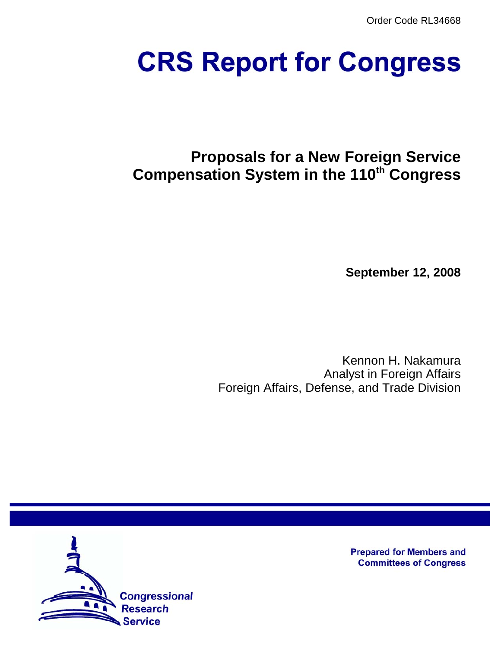Order Code RL34668

# **CRS Report for Congress**

# **Proposals for a New Foreign Service Compensation System in the 110th Congress**

**September 12, 2008**

Kennon H. Nakamura Analyst in Foreign Affairs Foreign Affairs, Defense, and Trade Division



**Prepared for Members and Committees of Congress**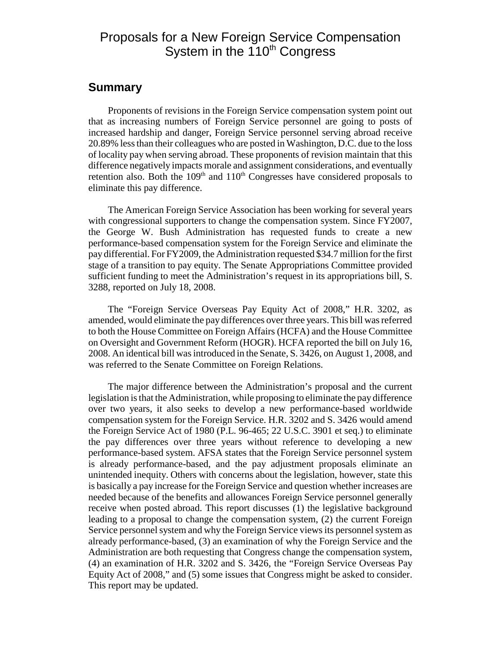## Proposals for a New Foreign Service Compensation System in the 110<sup>th</sup> Congress

#### **Summary**

Proponents of revisions in the Foreign Service compensation system point out that as increasing numbers of Foreign Service personnel are going to posts of increased hardship and danger, Foreign Service personnel serving abroad receive 20.89% less than their colleagues who are posted in Washington, D.C. due to the loss of locality pay when serving abroad. These proponents of revision maintain that this difference negatively impacts morale and assignment considerations, and eventually retention also. Both the  $109<sup>th</sup>$  and  $110<sup>th</sup>$  Congresses have considered proposals to eliminate this pay difference.

The American Foreign Service Association has been working for several years with congressional supporters to change the compensation system. Since FY2007, the George W. Bush Administration has requested funds to create a new performance-based compensation system for the Foreign Service and eliminate the pay differential. For FY2009, the Administration requested \$34.7 million for the first stage of a transition to pay equity. The Senate Appropriations Committee provided sufficient funding to meet the Administration's request in its appropriations bill, S. 3288, reported on July 18, 2008.

The "Foreign Service Overseas Pay Equity Act of 2008," H.R. 3202, as amended, would eliminate the pay differences over three years. This bill was referred to both the House Committee on Foreign Affairs (HCFA) and the House Committee on Oversight and Government Reform (HOGR). HCFA reported the bill on July 16, 2008. An identical bill was introduced in the Senate, S. 3426, on August 1, 2008, and was referred to the Senate Committee on Foreign Relations.

The major difference between the Administration's proposal and the current legislation is that the Administration, while proposing to eliminate the pay difference over two years, it also seeks to develop a new performance-based worldwide compensation system for the Foreign Service. H.R. 3202 and S. 3426 would amend the Foreign Service Act of 1980 (P.L. 96-465; 22 U.S.C. 3901 et seq.) to eliminate the pay differences over three years without reference to developing a new performance-based system. AFSA states that the Foreign Service personnel system is already performance-based, and the pay adjustment proposals eliminate an unintended inequity. Others with concerns about the legislation, however, state this is basically a pay increase for the Foreign Service and question whether increases are needed because of the benefits and allowances Foreign Service personnel generally receive when posted abroad. This report discusses (1) the legislative background leading to a proposal to change the compensation system, (2) the current Foreign Service personnel system and why the Foreign Service views its personnel system as already performance-based, (3) an examination of why the Foreign Service and the Administration are both requesting that Congress change the compensation system, (4) an examination of H.R. 3202 and S. 3426, the "Foreign Service Overseas Pay Equity Act of 2008," and (5) some issues that Congress might be asked to consider. This report may be updated.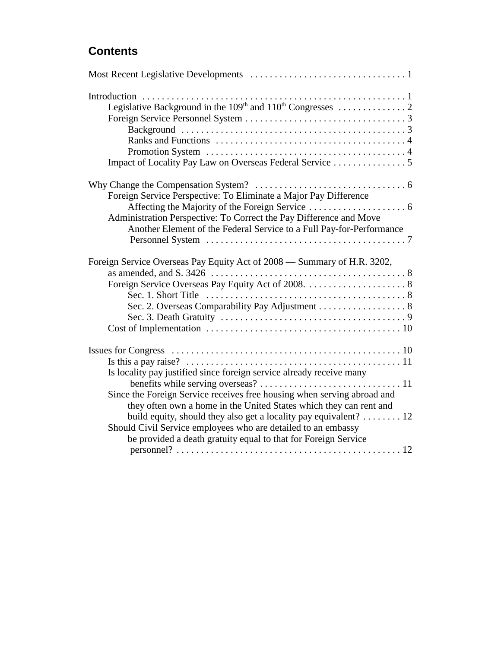## **Contents**

| Foreign Service Perspective: To Eliminate a Major Pay Difference        |
|-------------------------------------------------------------------------|
|                                                                         |
| Administration Perspective: To Correct the Pay Difference and Move      |
| Another Element of the Federal Service to a Full Pay-for-Performance    |
|                                                                         |
| Foreign Service Overseas Pay Equity Act of 2008 - Summary of H.R. 3202, |
|                                                                         |
|                                                                         |
|                                                                         |
| Sec. 2. Overseas Comparability Pay Adjustment 8                         |
|                                                                         |
|                                                                         |
|                                                                         |
|                                                                         |
| Is locality pay justified since foreign service already receive many    |
|                                                                         |
| Since the Foreign Service receives free housing when serving abroad and |
| they often own a home in the United States which they can rent and      |
| build equity, should they also get a locality pay equivalent? 12        |
| Should Civil Service employees who are detailed to an embassy           |
| be provided a death gratuity equal to that for Foreign Service          |
|                                                                         |
|                                                                         |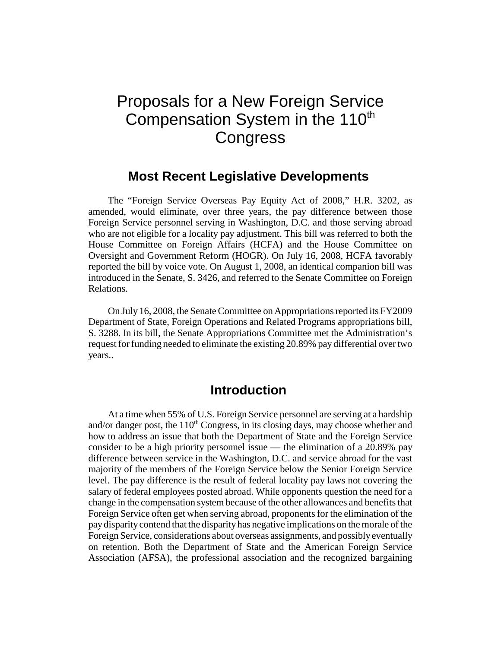# Proposals for a New Foreign Service Compensation System in the 110<sup>th</sup> **Congress**

#### **Most Recent Legislative Developments**

The "Foreign Service Overseas Pay Equity Act of 2008," H.R. 3202, as amended, would eliminate, over three years, the pay difference between those Foreign Service personnel serving in Washington, D.C. and those serving abroad who are not eligible for a locality pay adjustment. This bill was referred to both the House Committee on Foreign Affairs (HCFA) and the House Committee on Oversight and Government Reform (HOGR). On July 16, 2008, HCFA favorably reported the bill by voice vote. On August 1, 2008, an identical companion bill was introduced in the Senate, S. 3426, and referred to the Senate Committee on Foreign Relations.

On July 16, 2008, the Senate Committee on Appropriations reported its FY2009 Department of State, Foreign Operations and Related Programs appropriations bill, S. 3288. In its bill, the Senate Appropriations Committee met the Administration's request for funding needed to eliminate the existing 20.89% pay differential over two years..

#### **Introduction**

At a time when 55% of U.S. Foreign Service personnel are serving at a hardship and/or danger post, the  $110<sup>th</sup>$  Congress, in its closing days, may choose whether and how to address an issue that both the Department of State and the Foreign Service consider to be a high priority personnel issue — the elimination of a 20.89% pay difference between service in the Washington, D.C. and service abroad for the vast majority of the members of the Foreign Service below the Senior Foreign Service level. The pay difference is the result of federal locality pay laws not covering the salary of federal employees posted abroad. While opponents question the need for a change in the compensation system because of the other allowances and benefits that Foreign Service often get when serving abroad, proponents for the elimination of the pay disparity contend that the disparity has negative implications on the morale of the Foreign Service, considerations about overseas assignments, and possibly eventually on retention. Both the Department of State and the American Foreign Service Association (AFSA), the professional association and the recognized bargaining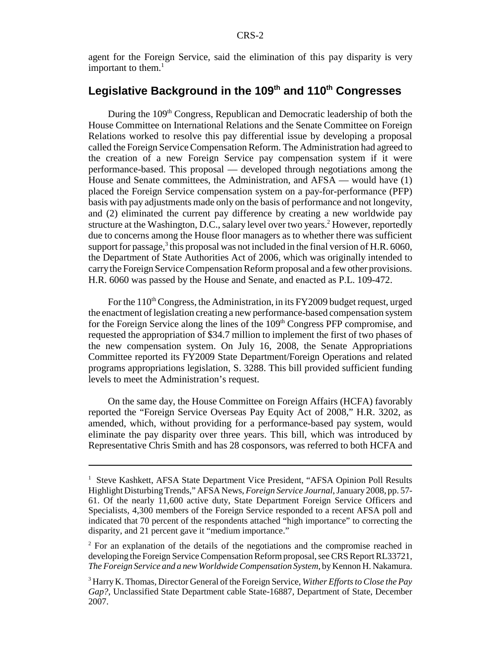agent for the Foreign Service, said the elimination of this pay disparity is very important to them. $<sup>1</sup>$ </sup>

#### Legislative Background in the 109<sup>th</sup> and 110<sup>th</sup> Congresses

During the 109<sup>th</sup> Congress, Republican and Democratic leadership of both the House Committee on International Relations and the Senate Committee on Foreign Relations worked to resolve this pay differential issue by developing a proposal called the Foreign Service Compensation Reform. The Administration had agreed to the creation of a new Foreign Service pay compensation system if it were performance-based. This proposal — developed through negotiations among the House and Senate committees, the Administration, and AFSA — would have (1) placed the Foreign Service compensation system on a pay-for-performance (PFP) basis with pay adjustments made only on the basis of performance and not longevity, and (2) eliminated the current pay difference by creating a new worldwide pay structure at the Washington, D.C., salary level over two years.<sup>2</sup> However, reportedly due to concerns among the House floor managers as to whether there was sufficient support for passage, $3$  this proposal was not included in the final version of H.R. 6060, the Department of State Authorities Act of 2006, which was originally intended to carry the Foreign Service Compensation Reform proposal and a few other provisions. H.R. 6060 was passed by the House and Senate, and enacted as P.L. 109-472.

For the  $110<sup>th</sup> Congress$ , the Administration, in its FY2009 budget request, urged the enactment of legislation creating a new performance-based compensation system for the Foreign Service along the lines of the 109<sup>th</sup> Congress PFP compromise, and requested the appropriation of \$34.7 million to implement the first of two phases of the new compensation system. On July 16, 2008, the Senate Appropriations Committee reported its FY2009 State Department/Foreign Operations and related programs appropriations legislation, S. 3288. This bill provided sufficient funding levels to meet the Administration's request.

On the same day, the House Committee on Foreign Affairs (HCFA) favorably reported the "Foreign Service Overseas Pay Equity Act of 2008," H.R. 3202, as amended, which, without providing for a performance-based pay system, would eliminate the pay disparity over three years. This bill, which was introduced by Representative Chris Smith and has 28 cosponsors, was referred to both HCFA and

<sup>&</sup>lt;sup>1</sup> Steve Kashkett, AFSA State Department Vice President, "AFSA Opinion Poll Results Highlight Disturbing Trends," AFSA News, *Foreign Service Journal*, January 2008, pp. 57- 61. Of the nearly 11,600 active duty, State Department Foreign Service Officers and Specialists, 4,300 members of the Foreign Service responded to a recent AFSA poll and indicated that 70 percent of the respondents attached "high importance" to correcting the disparity, and 21 percent gave it "medium importance."

<sup>&</sup>lt;sup>2</sup> For an explanation of the details of the negotiations and the compromise reached in developing the Foreign Service Compensation Reform proposal, see CRS Report RL33721, *The Foreign Service and a new Worldwide Compensation System*, by Kennon H. Nakamura.

<sup>3</sup> Harry K. Thomas, Director General of the Foreign Service, *Wither Efforts to Close the Pay Gap?*, Unclassified State Department cable State-16887, Department of State, December 2007.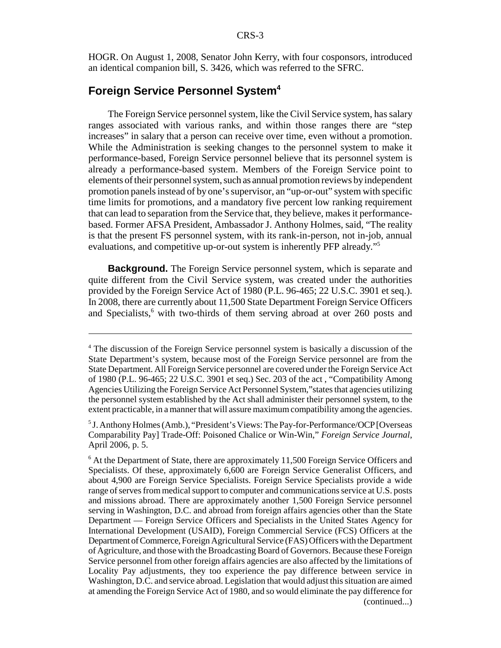HOGR. On August 1, 2008, Senator John Kerry, with four cosponsors, introduced an identical companion bill, S. 3426, which was referred to the SFRC.

#### **Foreign Service Personnel System4**

The Foreign Service personnel system, like the Civil Service system, has salary ranges associated with various ranks, and within those ranges there are "step increases" in salary that a person can receive over time, even without a promotion. While the Administration is seeking changes to the personnel system to make it performance-based, Foreign Service personnel believe that its personnel system is already a performance-based system. Members of the Foreign Service point to elements of their personnel system, such as annual promotion reviews by independent promotion panels instead of by one's supervisor, an "up-or-out" system with specific time limits for promotions, and a mandatory five percent low ranking requirement that can lead to separation from the Service that, they believe, makes it performancebased. Former AFSA President, Ambassador J. Anthony Holmes, said, "The reality is that the present FS personnel system, with its rank-in-person, not in-job, annual evaluations, and competitive up-or-out system is inherently PFP already."5

**Background.** The Foreign Service personnel system, which is separate and quite different from the Civil Service system, was created under the authorities provided by the Foreign Service Act of 1980 (P.L. 96-465; 22 U.S.C. 3901 et seq.). In 2008, there are currently about 11,500 State Department Foreign Service Officers and Specialists,<sup>6</sup> with two-thirds of them serving abroad at over 260 posts and

<sup>&</sup>lt;sup>4</sup> The discussion of the Foreign Service personnel system is basically a discussion of the State Department's system, because most of the Foreign Service personnel are from the State Department. All Foreign Service personnel are covered under the Foreign Service Act of 1980 (P.L. 96-465; 22 U.S.C. 3901 et seq.) Sec. 203 of the act , "Compatibility Among Agencies Utilizing the Foreign Service Act Personnel System,"states that agencies utilizing the personnel system established by the Act shall administer their personnel system, to the extent practicable, in a manner that will assure maximum compatibility among the agencies.

<sup>&</sup>lt;sup>5</sup> J. Anthony Holmes (Amb.), "President's Views: The Pay-for-Performance/OCP [Overseas Comparability Pay] Trade-Off: Poisoned Chalice or Win-Win," *Foreign Service Journal*, April 2006, p. 5.

<sup>&</sup>lt;sup>6</sup> At the Department of State, there are approximately 11,500 Foreign Service Officers and Specialists. Of these, approximately 6,600 are Foreign Service Generalist Officers, and about 4,900 are Foreign Service Specialists. Foreign Service Specialists provide a wide range of serves from medical support to computer and communications service at U.S. posts and missions abroad. There are approximately another 1,500 Foreign Service personnel serving in Washington, D.C. and abroad from foreign affairs agencies other than the State Department — Foreign Service Officers and Specialists in the United States Agency for International Development (USAID), Foreign Commercial Service (FCS) Officers at the Department of Commerce, Foreign Agricultural Service (FAS) Officers with the Department of Agriculture, and those with the Broadcasting Board of Governors. Because these Foreign Service personnel from other foreign affairs agencies are also affected by the limitations of Locality Pay adjustments, they too experience the pay difference between service in Washington, D.C. and service abroad. Legislation that would adjust this situation are aimed at amending the Foreign Service Act of 1980, and so would eliminate the pay difference for (continued...)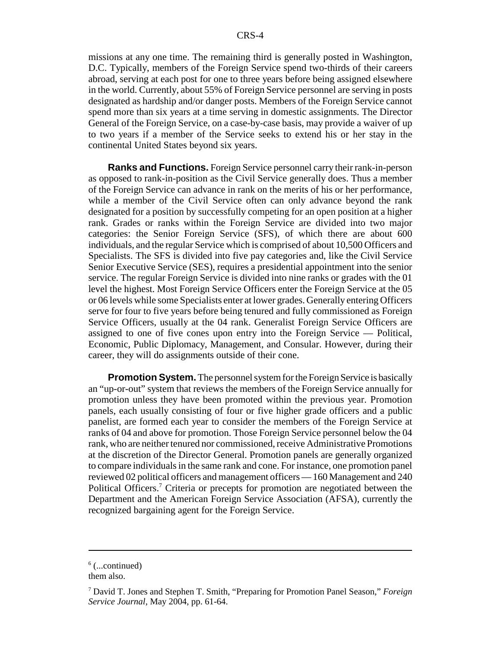missions at any one time. The remaining third is generally posted in Washington, D.C. Typically, members of the Foreign Service spend two-thirds of their careers abroad, serving at each post for one to three years before being assigned elsewhere in the world. Currently, about 55% of Foreign Service personnel are serving in posts designated as hardship and/or danger posts. Members of the Foreign Service cannot spend more than six years at a time serving in domestic assignments. The Director General of the Foreign Service, on a case-by-case basis, may provide a waiver of up to two years if a member of the Service seeks to extend his or her stay in the continental United States beyond six years.

**Ranks and Functions.** Foreign Service personnel carry their rank-in-person as opposed to rank-in-position as the Civil Service generally does. Thus a member of the Foreign Service can advance in rank on the merits of his or her performance, while a member of the Civil Service often can only advance beyond the rank designated for a position by successfully competing for an open position at a higher rank. Grades or ranks within the Foreign Service are divided into two major categories: the Senior Foreign Service (SFS), of which there are about 600 individuals, and the regular Service which is comprised of about 10,500 Officers and Specialists. The SFS is divided into five pay categories and, like the Civil Service Senior Executive Service (SES), requires a presidential appointment into the senior service. The regular Foreign Service is divided into nine ranks or grades with the 01 level the highest. Most Foreign Service Officers enter the Foreign Service at the 05 or 06 levels while some Specialists enter at lower grades. Generally entering Officers serve for four to five years before being tenured and fully commissioned as Foreign Service Officers, usually at the 04 rank. Generalist Foreign Service Officers are assigned to one of five cones upon entry into the Foreign Service — Political, Economic, Public Diplomacy, Management, and Consular. However, during their career, they will do assignments outside of their cone.

**Promotion System.** The personnel system for the Foreign Service is basically an "up-or-out" system that reviews the members of the Foreign Service annually for promotion unless they have been promoted within the previous year. Promotion panels, each usually consisting of four or five higher grade officers and a public panelist, are formed each year to consider the members of the Foreign Service at ranks of 04 and above for promotion. Those Foreign Service personnel below the 04 rank, who are neither tenured nor commissioned, receive Administrative Promotions at the discretion of the Director General. Promotion panels are generally organized to compare individuals in the same rank and cone. For instance, one promotion panel reviewed 02 political officers and management officers — 160 Management and 240 Political Officers.<sup>7</sup> Criteria or precepts for promotion are negotiated between the Department and the American Foreign Service Association (AFSA), currently the recognized bargaining agent for the Foreign Service.

 $6$  (...continued)

them also.

<sup>7</sup> David T. Jones and Stephen T. Smith, "Preparing for Promotion Panel Season," *Foreign Service Journal*, May 2004, pp. 61-64.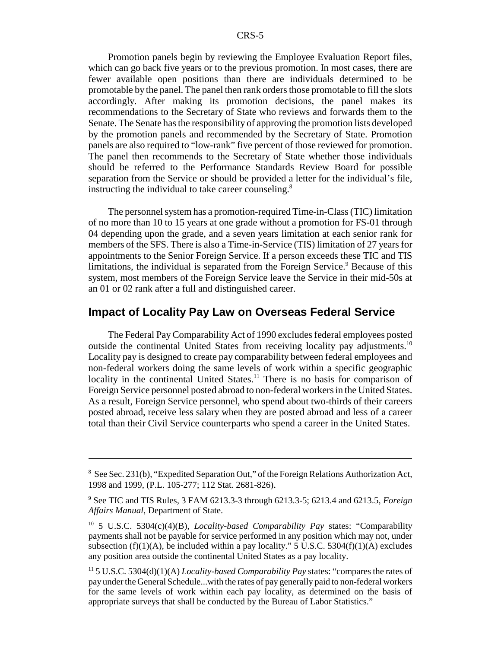Promotion panels begin by reviewing the Employee Evaluation Report files, which can go back five years or to the previous promotion. In most cases, there are fewer available open positions than there are individuals determined to be promotable by the panel. The panel then rank orders those promotable to fill the slots accordingly. After making its promotion decisions, the panel makes its recommendations to the Secretary of State who reviews and forwards them to the Senate. The Senate has the responsibility of approving the promotion lists developed by the promotion panels and recommended by the Secretary of State. Promotion panels are also required to "low-rank" five percent of those reviewed for promotion. The panel then recommends to the Secretary of State whether those individuals should be referred to the Performance Standards Review Board for possible separation from the Service or should be provided a letter for the individual's file, instructing the individual to take career counseling.<sup>8</sup>

The personnel system has a promotion-required Time-in-Class (TIC) limitation of no more than 10 to 15 years at one grade without a promotion for FS-01 through 04 depending upon the grade, and a seven years limitation at each senior rank for members of the SFS. There is also a Time-in-Service (TIS) limitation of 27 years for appointments to the Senior Foreign Service. If a person exceeds these TIC and TIS limitations, the individual is separated from the Foreign Service.<sup>9</sup> Because of this system, most members of the Foreign Service leave the Service in their mid-50s at an 01 or 02 rank after a full and distinguished career.

#### **Impact of Locality Pay Law on Overseas Federal Service**

The Federal Pay Comparability Act of 1990 excludes federal employees posted outside the continental United States from receiving locality pay adjustments.10 Locality pay is designed to create pay comparability between federal employees and non-federal workers doing the same levels of work within a specific geographic locality in the continental United States.<sup>11</sup> There is no basis for comparison of Foreign Service personnel posted abroad to non-federal workers in the United States. As a result, Foreign Service personnel, who spend about two-thirds of their careers posted abroad, receive less salary when they are posted abroad and less of a career total than their Civil Service counterparts who spend a career in the United States.

<sup>&</sup>lt;sup>8</sup> See Sec. 231(b), "Expedited Separation Out," of the Foreign Relations Authorization Act, 1998 and 1999, (P.L. 105-277; 112 Stat. 2681-826).

<sup>9</sup> See TIC and TIS Rules, 3 FAM 6213.3-3 through 6213.3-5; 6213.4 and 6213.5, *Foreign Affairs Manual*, Department of State.

<sup>10 5</sup> U.S.C. 5304(c)(4)(B), *Locality-based Comparability Pay* states: "Comparability payments shall not be payable for service performed in any position which may not, under subsection (f)(1)(A), be included within a pay locality." 5 U.S.C. 5304(f)(1)(A) excludes any position area outside the continental United States as a pay locality.

<sup>11 5</sup> U.S.C. 5304(d)(1)(A) *Locality-based Comparability Pay* states: "compares the rates of pay under the General Schedule...with the rates of pay generally paid to non-federal workers for the same levels of work within each pay locality, as determined on the basis of appropriate surveys that shall be conducted by the Bureau of Labor Statistics."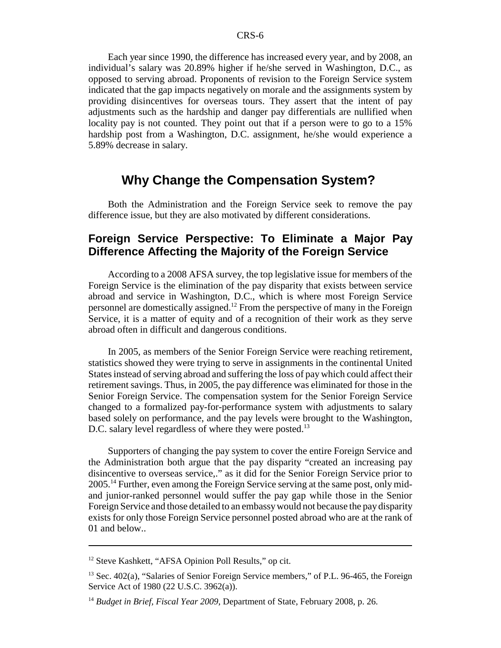Each year since 1990, the difference has increased every year, and by 2008, an individual's salary was 20.89% higher if he/she served in Washington, D.C., as opposed to serving abroad. Proponents of revision to the Foreign Service system indicated that the gap impacts negatively on morale and the assignments system by providing disincentives for overseas tours. They assert that the intent of pay adjustments such as the hardship and danger pay differentials are nullified when locality pay is not counted. They point out that if a person were to go to a 15% hardship post from a Washington, D.C. assignment, he/she would experience a 5.89% decrease in salary.

#### **Why Change the Compensation System?**

Both the Administration and the Foreign Service seek to remove the pay difference issue, but they are also motivated by different considerations.

#### **Foreign Service Perspective: To Eliminate a Major Pay Difference Affecting the Majority of the Foreign Service**

According to a 2008 AFSA survey, the top legislative issue for members of the Foreign Service is the elimination of the pay disparity that exists between service abroad and service in Washington, D.C., which is where most Foreign Service personnel are domestically assigned.<sup>12</sup> From the perspective of many in the Foreign Service, it is a matter of equity and of a recognition of their work as they serve abroad often in difficult and dangerous conditions.

In 2005, as members of the Senior Foreign Service were reaching retirement, statistics showed they were trying to serve in assignments in the continental United States instead of serving abroad and suffering the loss of pay which could affect their retirement savings. Thus, in 2005, the pay difference was eliminated for those in the Senior Foreign Service. The compensation system for the Senior Foreign Service changed to a formalized pay-for-performance system with adjustments to salary based solely on performance, and the pay levels were brought to the Washington, D.C. salary level regardless of where they were posted.<sup>13</sup>

Supporters of changing the pay system to cover the entire Foreign Service and the Administration both argue that the pay disparity "created an increasing pay disincentive to overseas service,." as it did for the Senior Foreign Service prior to 2005.<sup>14</sup> Further, even among the Foreign Service serving at the same post, only midand junior-ranked personnel would suffer the pay gap while those in the Senior Foreign Service and those detailed to an embassy would not because the pay disparity exists for only those Foreign Service personnel posted abroad who are at the rank of 01 and below..

<sup>12</sup> Steve Kashkett, "AFSA Opinion Poll Results," op cit.

 $13$  Sec. 402(a), "Salaries of Senior Foreign Service members," of P.L. 96-465, the Foreign Service Act of 1980 (22 U.S.C. 3962(a)).

<sup>&</sup>lt;sup>14</sup> *Budget in Brief, Fiscal Year 2009*, Department of State, February 2008, p. 26.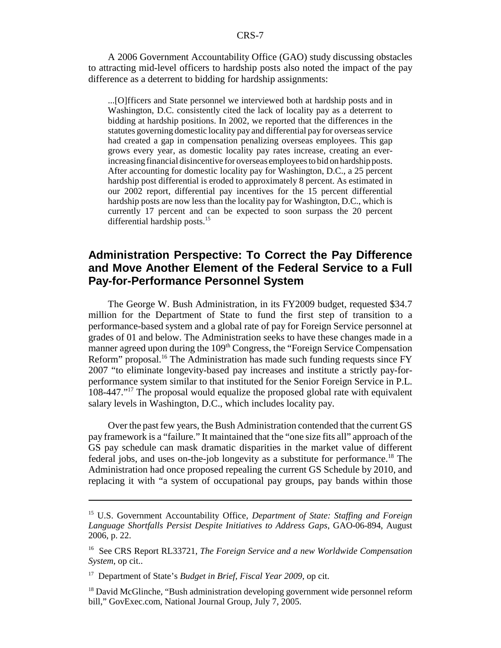A 2006 Government Accountability Office (GAO) study discussing obstacles to attracting mid-level officers to hardship posts also noted the impact of the pay difference as a deterrent to bidding for hardship assignments:

...[O]fficers and State personnel we interviewed both at hardship posts and in Washington, D.C. consistently cited the lack of locality pay as a deterrent to bidding at hardship positions. In 2002, we reported that the differences in the statutes governing domestic locality pay and differential pay for overseas service had created a gap in compensation penalizing overseas employees. This gap grows every year, as domestic locality pay rates increase, creating an everincreasing financial disincentive for overseas employees to bid on hardship posts. After accounting for domestic locality pay for Washington, D.C., a 25 percent hardship post differential is eroded to approximately 8 percent. As estimated in our 2002 report, differential pay incentives for the 15 percent differential hardship posts are now less than the locality pay for Washington, D.C., which is currently 17 percent and can be expected to soon surpass the 20 percent differential hardship posts.<sup>15</sup>

#### **Administration Perspective: To Correct the Pay Difference and Move Another Element of the Federal Service to a Full Pay-for-Performance Personnel System**

The George W. Bush Administration, in its FY2009 budget, requested \$34.7 million for the Department of State to fund the first step of transition to a performance-based system and a global rate of pay for Foreign Service personnel at grades of 01 and below. The Administration seeks to have these changes made in a manner agreed upon during the 109<sup>th</sup> Congress, the "Foreign Service Compensation" Reform" proposal.<sup>16</sup> The Administration has made such funding requests since FY 2007 "to eliminate longevity-based pay increases and institute a strictly pay-forperformance system similar to that instituted for the Senior Foreign Service in P.L. 108-447."17 The proposal would equalize the proposed global rate with equivalent salary levels in Washington, D.C., which includes locality pay.

Over the past few years, the Bush Administration contended that the current GS pay framework is a "failure." It maintained that the "one size fits all" approach of the GS pay schedule can mask dramatic disparities in the market value of different federal jobs, and uses on-the-job longevity as a substitute for performance.18 The Administration had once proposed repealing the current GS Schedule by 2010, and replacing it with "a system of occupational pay groups, pay bands within those

<sup>15</sup> U.S. Government Accountability Office, *Department of State: Staffing and Foreign Language Shortfalls Persist Despite Initiatives to Address Gaps*, GAO-06-894, August 2006, p. 22.

<sup>16</sup> See CRS Report RL33721, *The Foreign Service and a new Worldwide Compensation System*, op cit..

<sup>17</sup> Department of State's *Budget in Brief, Fiscal Year 2009*, op cit.

<sup>&</sup>lt;sup>18</sup> David McGlinche, "Bush administration developing government wide personnel reform bill," GovExec.com, National Journal Group, July 7, 2005.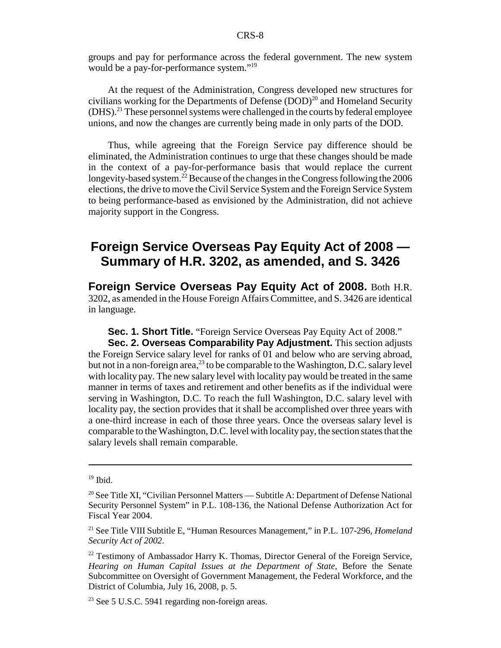groups and pay for performance across the federal government. The new system would be a pay-for-performance system."<sup>19</sup>

At the request of the Administration, Congress developed new structures for civilians working for the Departments of Defense  $(DOD)^{20}$  and Homeland Security  $(DHS).$ <sup>21</sup> These personnel systems were challenged in the courts by federal employee unions, and now the changes are currently being made in only parts of the DOD.

Thus, while agreeing that the Foreign Service pay difference should be eliminated, the Administration continues to urge that these changes should be made in the context of a pay-for-performance basis that would replace the current longevity-based system.<sup>22</sup> Because of the changes in the Congress following the 2006 elections, the drive to move the Civil Service System and the Foreign Service System to being performance-based as envisioned by the Administration, did not achieve majority support in the Congress.

### **Foreign Service Overseas Pay Equity Act of 2008 — Summary of H.R. 3202, as amended, and S. 3426**

**Foreign Service Overseas Pay Equity Act of 2008.** Both H.R. 3202, as amended in the House Foreign Affairs Committee, and S. 3426 are identical in language.

**Sec. 1. Short Title.** "Foreign Service Overseas Pay Equity Act of 2008."

**Sec. 2. Overseas Comparability Pay Adjustment.** This section adjusts the Foreign Service salary level for ranks of 01 and below who are serving abroad, but not in a non-foreign area,<sup>23</sup> to be comparable to the Washington, D.C. salary level with locality pay. The new salary level with locality pay would be treated in the same manner in terms of taxes and retirement and other benefits as if the individual were serving in Washington, D.C. To reach the full Washington, D.C. salary level with locality pay, the section provides that it shall be accomplished over three years with a one-third increase in each of those three years. Once the overseas salary level is comparable to the Washington, D.C. level with locality pay, the section states that the salary levels shall remain comparable.

 $19$  Ibid.

<sup>&</sup>lt;sup>20</sup> See Title XI, "Civilian Personnel Matters — Subtitle A: Department of Defense National Security Personnel System" in P.L. 108-136, the National Defense Authorization Act for Fiscal Year 2004.

<sup>21</sup> See Title VIII Subtitle E, "Human Resources Management," in P.L. 107-296, *Homeland Security Act of 2002*.

<sup>&</sup>lt;sup>22</sup> Testimony of Ambassador Harry K. Thomas, Director General of the Foreign Service, *Hearing on Human Capital Issues at the Department of State*, Before the Senate Subcommittee on Oversight of Government Management, the Federal Workforce, and the District of Columbia, July 16, 2008, p. 5.

<sup>&</sup>lt;sup>23</sup> See 5 U.S.C. 5941 regarding non-foreign areas.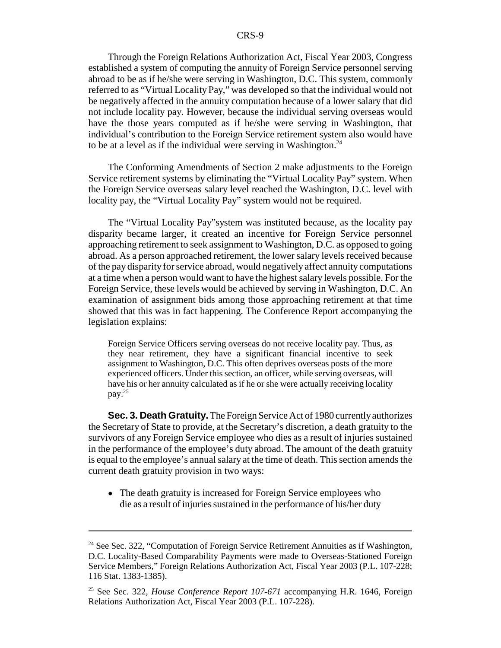Through the Foreign Relations Authorization Act, Fiscal Year 2003, Congress established a system of computing the annuity of Foreign Service personnel serving abroad to be as if he/she were serving in Washington, D.C. This system, commonly referred to as "Virtual Locality Pay," was developed so that the individual would not be negatively affected in the annuity computation because of a lower salary that did not include locality pay. However, because the individual serving overseas would have the those years computed as if he/she were serving in Washington, that individual's contribution to the Foreign Service retirement system also would have to be at a level as if the individual were serving in Washington.<sup>24</sup>

The Conforming Amendments of Section 2 make adjustments to the Foreign Service retirement systems by eliminating the "Virtual Locality Pay" system. When the Foreign Service overseas salary level reached the Washington, D.C. level with locality pay, the "Virtual Locality Pay" system would not be required.

The "Virtual Locality Pay"system was instituted because, as the locality pay disparity became larger, it created an incentive for Foreign Service personnel approaching retirement to seek assignment to Washington, D.C. as opposed to going abroad. As a person approached retirement, the lower salary levels received because of the pay disparity for service abroad, would negatively affect annuity computations at a time when a person would want to have the highest salary levels possible. For the Foreign Service, these levels would be achieved by serving in Washington, D.C. An examination of assignment bids among those approaching retirement at that time showed that this was in fact happening. The Conference Report accompanying the legislation explains:

Foreign Service Officers serving overseas do not receive locality pay. Thus, as they near retirement, they have a significant financial incentive to seek assignment to Washington, D.C. This often deprives overseas posts of the more experienced officers. Under this section, an officer, while serving overseas, will have his or her annuity calculated as if he or she were actually receiving locality pay.25

**Sec. 3. Death Gratuity.** The Foreign Service Act of 1980 currently authorizes the Secretary of State to provide, at the Secretary's discretion, a death gratuity to the survivors of any Foreign Service employee who dies as a result of injuries sustained in the performance of the employee's duty abroad. The amount of the death gratuity is equal to the employee's annual salary at the time of death. This section amends the current death gratuity provision in two ways:

• The death gratuity is increased for Foreign Service employees who die as a result of injuries sustained in the performance of his/her duty

 $24$  See Sec. 322, "Computation of Foreign Service Retirement Annuities as if Washington, D.C. Locality-Based Comparability Payments were made to Overseas-Stationed Foreign Service Members," Foreign Relations Authorization Act, Fiscal Year 2003 (P.L. 107-228; 116 Stat. 1383-1385).

<sup>25</sup> See Sec. 322, *House Conference Report 107-671* accompanying H.R. 1646, Foreign Relations Authorization Act, Fiscal Year 2003 (P.L. 107-228).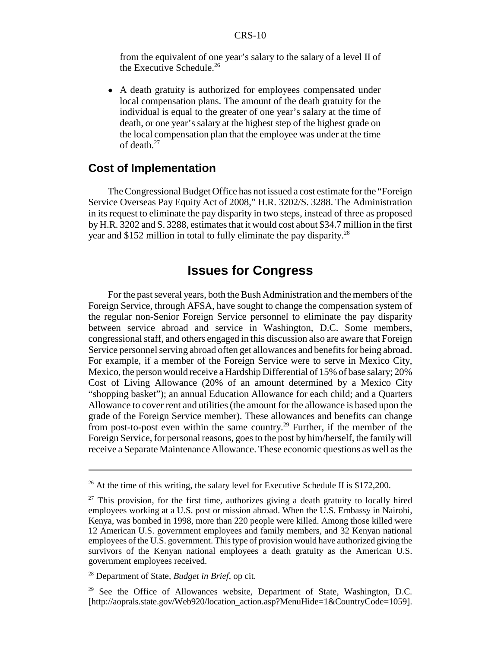from the equivalent of one year's salary to the salary of a level II of the Executive Schedule.<sup>26</sup>

• A death gratuity is authorized for employees compensated under local compensation plans. The amount of the death gratuity for the individual is equal to the greater of one year's salary at the time of death, or one year's salary at the highest step of the highest grade on the local compensation plan that the employee was under at the time of death.27

#### **Cost of Implementation**

The Congressional Budget Office has not issued a cost estimate for the "Foreign Service Overseas Pay Equity Act of 2008," H.R. 3202/S. 3288. The Administration in its request to eliminate the pay disparity in two steps, instead of three as proposed by H.R. 3202 and S. 3288, estimates that it would cost about \$34.7 million in the first year and \$152 million in total to fully eliminate the pay disparity.28

#### **Issues for Congress**

For the past several years, both the Bush Administration and the members of the Foreign Service, through AFSA, have sought to change the compensation system of the regular non-Senior Foreign Service personnel to eliminate the pay disparity between service abroad and service in Washington, D.C. Some members, congressional staff, and others engaged in this discussion also are aware that Foreign Service personnel serving abroad often get allowances and benefits for being abroad. For example, if a member of the Foreign Service were to serve in Mexico City, Mexico, the person would receive a Hardship Differential of 15% of base salary; 20% Cost of Living Allowance (20% of an amount determined by a Mexico City "shopping basket"); an annual Education Allowance for each child; and a Quarters Allowance to cover rent and utilities (the amount for the allowance is based upon the grade of the Foreign Service member). These allowances and benefits can change from post-to-post even within the same country.<sup>29</sup> Further, if the member of the Foreign Service, for personal reasons, goes to the post by him/herself, the family will receive a Separate Maintenance Allowance. These economic questions as well as the

<sup>&</sup>lt;sup>26</sup> At the time of this writing, the salary level for Executive Schedule II is \$172,200.

 $27$  This provision, for the first time, authorizes giving a death gratuity to locally hired employees working at a U.S. post or mission abroad. When the U.S. Embassy in Nairobi, Kenya, was bombed in 1998, more than 220 people were killed. Among those killed were 12 American U.S. government employees and family members, and 32 Kenyan national employees of the U.S. government. This type of provision would have authorized giving the survivors of the Kenyan national employees a death gratuity as the American U.S. government employees received.

<sup>28</sup> Department of State, *Budget in Brief*, op cit.

<sup>&</sup>lt;sup>29</sup> See the Office of Allowances website, Department of State, Washington, D.C. [http://aoprals.state.gov/Web920/location\_action.asp?MenuHide=1&CountryCode=1059].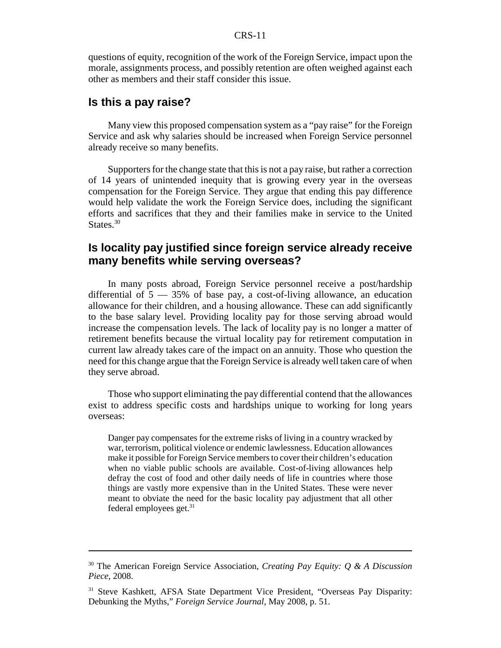#### CRS-11

questions of equity, recognition of the work of the Foreign Service, impact upon the morale, assignments process, and possibly retention are often weighed against each other as members and their staff consider this issue.

#### **Is this a pay raise?**

Many view this proposed compensation system as a "pay raise" for the Foreign Service and ask why salaries should be increased when Foreign Service personnel already receive so many benefits.

Supporters for the change state that this is not a pay raise, but rather a correction of 14 years of unintended inequity that is growing every year in the overseas compensation for the Foreign Service. They argue that ending this pay difference would help validate the work the Foreign Service does, including the significant efforts and sacrifices that they and their families make in service to the United States.<sup>30</sup>

#### **Is locality pay justified since foreign service already receive many benefits while serving overseas?**

In many posts abroad, Foreign Service personnel receive a post/hardship differential of  $5 - 35\%$  of base pay, a cost-of-living allowance, an education allowance for their children, and a housing allowance. These can add significantly to the base salary level. Providing locality pay for those serving abroad would increase the compensation levels. The lack of locality pay is no longer a matter of retirement benefits because the virtual locality pay for retirement computation in current law already takes care of the impact on an annuity. Those who question the need for this change argue that the Foreign Service is already well taken care of when they serve abroad.

Those who support eliminating the pay differential contend that the allowances exist to address specific costs and hardships unique to working for long years overseas:

Danger pay compensates for the extreme risks of living in a country wracked by war, terrorism, political violence or endemic lawlessness. Education allowances make it possible for Foreign Service members to cover their children's education when no viable public schools are available. Cost-of-living allowances help defray the cost of food and other daily needs of life in countries where those things are vastly more expensive than in the United States. These were never meant to obviate the need for the basic locality pay adjustment that all other federal employees get.31

<sup>30</sup> The American Foreign Service Association, *Creating Pay Equity: Q & A Discussion Piece*, 2008.

<sup>&</sup>lt;sup>31</sup> Steve Kashkett, AFSA State Department Vice President, "Overseas Pay Disparity: Debunking the Myths," *Foreign Service Journal*, May 2008, p. 51.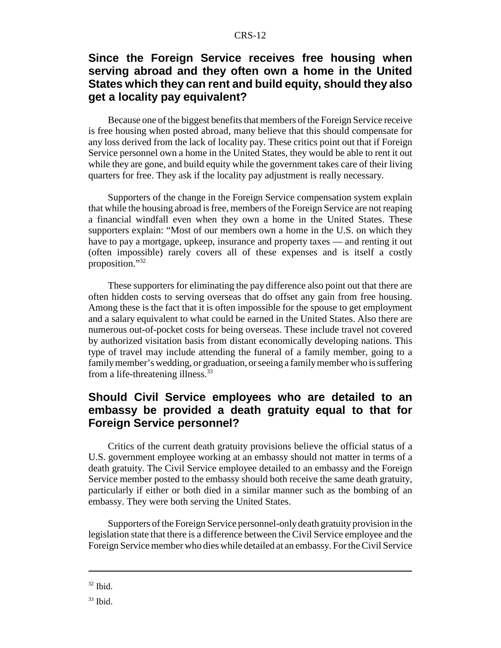#### CRS-12

#### **Since the Foreign Service receives free housing when serving abroad and they often own a home in the United States which they can rent and build equity, should they also get a locality pay equivalent?**

Because one of the biggest benefits that members of the Foreign Service receive is free housing when posted abroad, many believe that this should compensate for any loss derived from the lack of locality pay. These critics point out that if Foreign Service personnel own a home in the United States, they would be able to rent it out while they are gone, and build equity while the government takes care of their living quarters for free. They ask if the locality pay adjustment is really necessary.

Supporters of the change in the Foreign Service compensation system explain that while the housing abroad is free, members of the Foreign Service are not reaping a financial windfall even when they own a home in the United States. These supporters explain: "Most of our members own a home in the U.S. on which they have to pay a mortgage, upkeep, insurance and property taxes — and renting it out (often impossible) rarely covers all of these expenses and is itself a costly proposition."32

These supporters for eliminating the pay difference also point out that there are often hidden costs to serving overseas that do offset any gain from free housing. Among these is the fact that it is often impossible for the spouse to get employment and a salary equivalent to what could be earned in the United States. Also there are numerous out-of-pocket costs for being overseas. These include travel not covered by authorized visitation basis from distant economically developing nations. This type of travel may include attending the funeral of a family member, going to a family member's wedding, or graduation, or seeing a family member who is suffering from a life-threatening illness.<sup>33</sup>

#### **Should Civil Service employees who are detailed to an embassy be provided a death gratuity equal to that for Foreign Service personnel?**

Critics of the current death gratuity provisions believe the official status of a U.S. government employee working at an embassy should not matter in terms of a death gratuity. The Civil Service employee detailed to an embassy and the Foreign Service member posted to the embassy should both receive the same death gratuity, particularly if either or both died in a similar manner such as the bombing of an embassy. They were both serving the United States.

Supporters of the Foreign Service personnel-only death gratuity provision in the legislation state that there is a difference between the Civil Service employee and the Foreign Service member who dies while detailed at an embassy. For the Civil Service

 $32$  Ibid.

 $33$  Ibid.